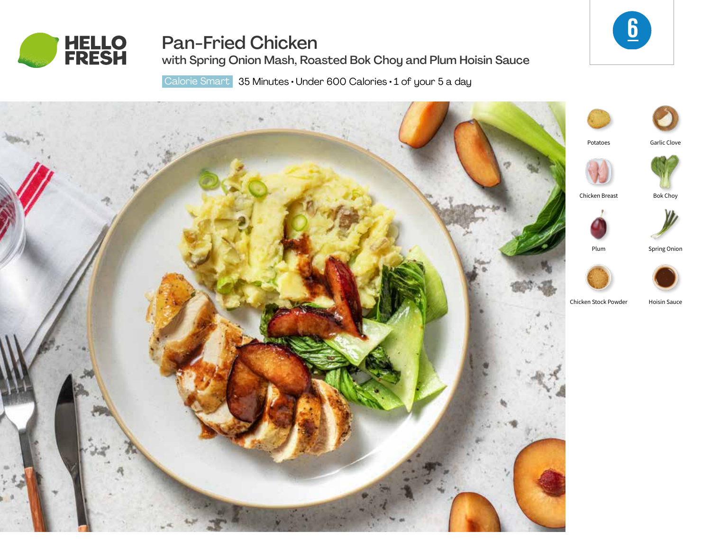

# Pan-Fried Chicken

with Spring Onion Mash, Roasted Bok Choy and Plum Hoisin Sauce

6

Calorie Smart 35 Minutes · Under 600 Calories · 1 of your 5 a day